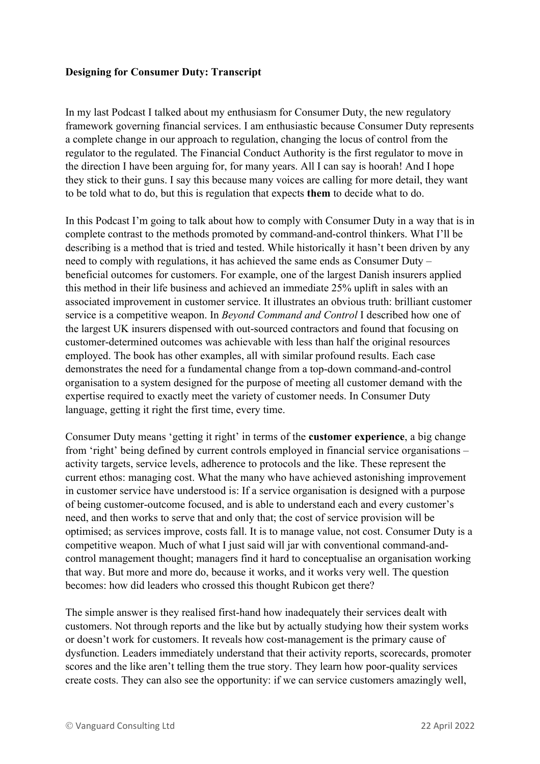## **Designing for Consumer Duty: Transcript**

In my last Podcast I talked about my enthusiasm for Consumer Duty, the new regulatory framework governing financial services. I am enthusiastic because Consumer Duty represents a complete change in our approach to regulation, changing the locus of control from the regulator to the regulated. The Financial Conduct Authority is the first regulator to move in the direction I have been arguing for, for many years. All I can say is hoorah! And I hope they stick to their guns. I say this because many voices are calling for more detail, they want to be told what to do, but this is regulation that expects **them** to decide what to do.

In this Podcast I'm going to talk about how to comply with Consumer Duty in a way that is in complete contrast to the methods promoted by command-and-control thinkers. What I'll be describing is a method that is tried and tested. While historically it hasn't been driven by any need to comply with regulations, it has achieved the same ends as Consumer Duty – beneficial outcomes for customers. For example, one of the largest Danish insurers applied this method in their life business and achieved an immediate 25% uplift in sales with an associated improvement in customer service. It illustrates an obvious truth: brilliant customer service is a competitive weapon. In *Beyond Command and Control* I described how one of the largest UK insurers dispensed with out-sourced contractors and found that focusing on customer-determined outcomes was achievable with less than half the original resources employed. The book has other examples, all with similar profound results. Each case demonstrates the need for a fundamental change from a top-down command-and-control organisation to a system designed for the purpose of meeting all customer demand with the expertise required to exactly meet the variety of customer needs. In Consumer Duty language, getting it right the first time, every time.

Consumer Duty means 'getting it right' in terms of the **customer experience**, a big change from 'right' being defined by current controls employed in financial service organisations – activity targets, service levels, adherence to protocols and the like. These represent the current ethos: managing cost. What the many who have achieved astonishing improvement in customer service have understood is: If a service organisation is designed with a purpose of being customer-outcome focused, and is able to understand each and every customer's need, and then works to serve that and only that; the cost of service provision will be optimised; as services improve, costs fall. It is to manage value, not cost. Consumer Duty is a competitive weapon. Much of what I just said will jar with conventional command-andcontrol management thought; managers find it hard to conceptualise an organisation working that way. But more and more do, because it works, and it works very well. The question becomes: how did leaders who crossed this thought Rubicon get there?

The simple answer is they realised first-hand how inadequately their services dealt with customers. Not through reports and the like but by actually studying how their system works or doesn't work for customers. It reveals how cost-management is the primary cause of dysfunction. Leaders immediately understand that their activity reports, scorecards, promoter scores and the like aren't telling them the true story. They learn how poor-quality services create costs. They can also see the opportunity: if we can service customers amazingly well,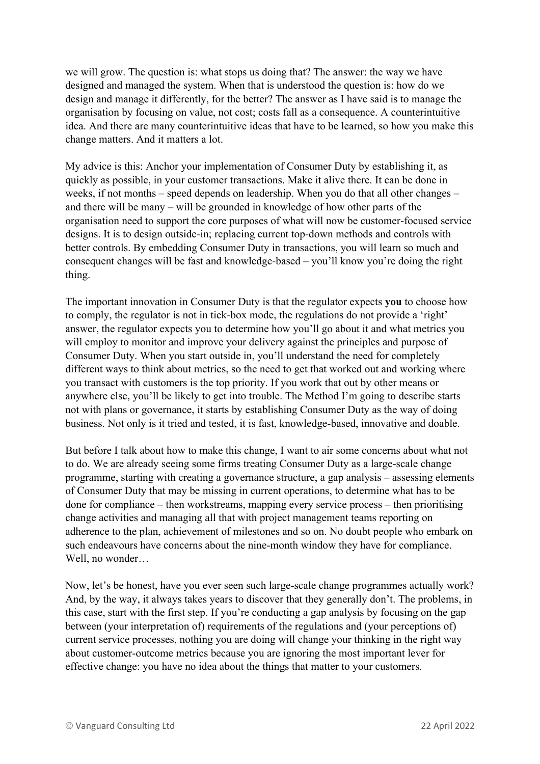we will grow. The question is: what stops us doing that? The answer: the way we have designed and managed the system. When that is understood the question is: how do we design and manage it differently, for the better? The answer as I have said is to manage the organisation by focusing on value, not cost; costs fall as a consequence. A counterintuitive idea. And there are many counterintuitive ideas that have to be learned, so how you make this change matters. And it matters a lot.

My advice is this: Anchor your implementation of Consumer Duty by establishing it, as quickly as possible, in your customer transactions. Make it alive there. It can be done in weeks, if not months – speed depends on leadership. When you do that all other changes – and there will be many – will be grounded in knowledge of how other parts of the organisation need to support the core purposes of what will now be customer-focused service designs. It is to design outside-in; replacing current top-down methods and controls with better controls. By embedding Consumer Duty in transactions, you will learn so much and consequent changes will be fast and knowledge-based – you'll know you're doing the right thing.

The important innovation in Consumer Duty is that the regulator expects **you** to choose how to comply, the regulator is not in tick-box mode, the regulations do not provide a 'right' answer, the regulator expects you to determine how you'll go about it and what metrics you will employ to monitor and improve your delivery against the principles and purpose of Consumer Duty. When you start outside in, you'll understand the need for completely different ways to think about metrics, so the need to get that worked out and working where you transact with customers is the top priority. If you work that out by other means or anywhere else, you'll be likely to get into trouble. The Method I'm going to describe starts not with plans or governance, it starts by establishing Consumer Duty as the way of doing business. Not only is it tried and tested, it is fast, knowledge-based, innovative and doable.

But before I talk about how to make this change, I want to air some concerns about what not to do. We are already seeing some firms treating Consumer Duty as a large-scale change programme, starting with creating a governance structure, a gap analysis – assessing elements of Consumer Duty that may be missing in current operations, to determine what has to be done for compliance – then workstreams, mapping every service process – then prioritising change activities and managing all that with project management teams reporting on adherence to the plan, achievement of milestones and so on. No doubt people who embark on such endeavours have concerns about the nine-month window they have for compliance. Well, no wonder…

Now, let's be honest, have you ever seen such large-scale change programmes actually work? And, by the way, it always takes years to discover that they generally don't. The problems, in this case, start with the first step. If you're conducting a gap analysis by focusing on the gap between (your interpretation of) requirements of the regulations and (your perceptions of) current service processes, nothing you are doing will change your thinking in the right way about customer-outcome metrics because you are ignoring the most important lever for effective change: you have no idea about the things that matter to your customers.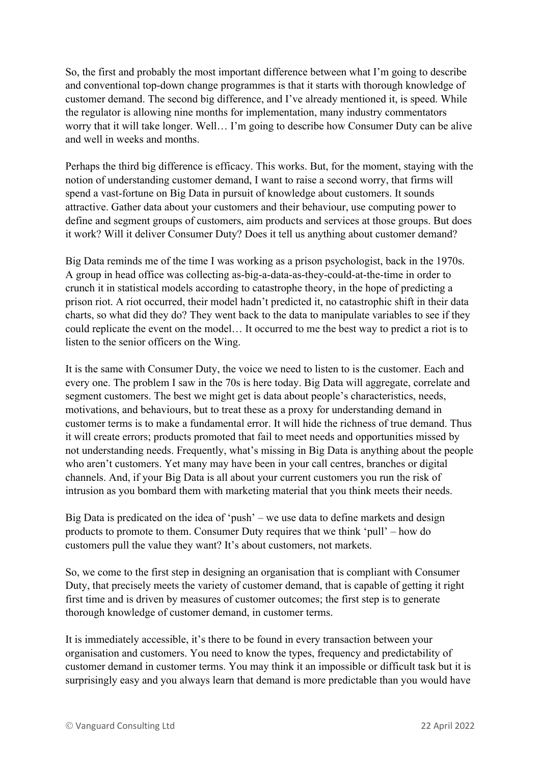So, the first and probably the most important difference between what I'm going to describe and conventional top-down change programmes is that it starts with thorough knowledge of customer demand. The second big difference, and I've already mentioned it, is speed. While the regulator is allowing nine months for implementation, many industry commentators worry that it will take longer. Well… I'm going to describe how Consumer Duty can be alive and well in weeks and months.

Perhaps the third big difference is efficacy. This works. But, for the moment, staying with the notion of understanding customer demand, I want to raise a second worry, that firms will spend a vast-fortune on Big Data in pursuit of knowledge about customers. It sounds attractive. Gather data about your customers and their behaviour, use computing power to define and segment groups of customers, aim products and services at those groups. But does it work? Will it deliver Consumer Duty? Does it tell us anything about customer demand?

Big Data reminds me of the time I was working as a prison psychologist, back in the 1970s. A group in head office was collecting as-big-a-data-as-they-could-at-the-time in order to crunch it in statistical models according to catastrophe theory, in the hope of predicting a prison riot. A riot occurred, their model hadn't predicted it, no catastrophic shift in their data charts, so what did they do? They went back to the data to manipulate variables to see if they could replicate the event on the model… It occurred to me the best way to predict a riot is to listen to the senior officers on the Wing.

It is the same with Consumer Duty, the voice we need to listen to is the customer. Each and every one. The problem I saw in the 70s is here today. Big Data will aggregate, correlate and segment customers. The best we might get is data about people's characteristics, needs, motivations, and behaviours, but to treat these as a proxy for understanding demand in customer terms is to make a fundamental error. It will hide the richness of true demand. Thus it will create errors; products promoted that fail to meet needs and opportunities missed by not understanding needs. Frequently, what's missing in Big Data is anything about the people who aren't customers. Yet many may have been in your call centres, branches or digital channels. And, if your Big Data is all about your current customers you run the risk of intrusion as you bombard them with marketing material that you think meets their needs.

Big Data is predicated on the idea of 'push' – we use data to define markets and design products to promote to them. Consumer Duty requires that we think 'pull' – how do customers pull the value they want? It's about customers, not markets.

So, we come to the first step in designing an organisation that is compliant with Consumer Duty, that precisely meets the variety of customer demand, that is capable of getting it right first time and is driven by measures of customer outcomes; the first step is to generate thorough knowledge of customer demand, in customer terms.

It is immediately accessible, it's there to be found in every transaction between your organisation and customers. You need to know the types, frequency and predictability of customer demand in customer terms. You may think it an impossible or difficult task but it is surprisingly easy and you always learn that demand is more predictable than you would have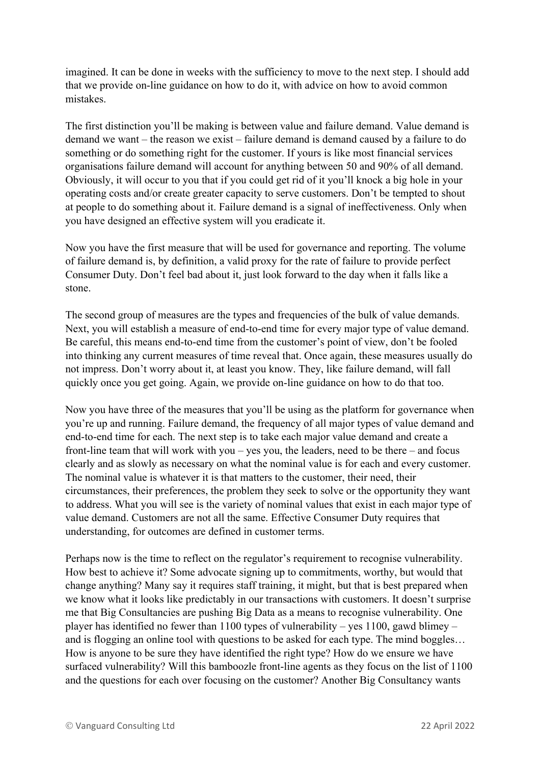imagined. It can be done in weeks with the sufficiency to move to the next step. I should add that we provide on-line guidance on how to do it, with advice on how to avoid common mistakes.

The first distinction you'll be making is between value and failure demand. Value demand is demand we want – the reason we exist – failure demand is demand caused by a failure to do something or do something right for the customer. If yours is like most financial services organisations failure demand will account for anything between 50 and 90% of all demand. Obviously, it will occur to you that if you could get rid of it you'll knock a big hole in your operating costs and/or create greater capacity to serve customers. Don't be tempted to shout at people to do something about it. Failure demand is a signal of ineffectiveness. Only when you have designed an effective system will you eradicate it.

Now you have the first measure that will be used for governance and reporting. The volume of failure demand is, by definition, a valid proxy for the rate of failure to provide perfect Consumer Duty. Don't feel bad about it, just look forward to the day when it falls like a stone.

The second group of measures are the types and frequencies of the bulk of value demands. Next, you will establish a measure of end-to-end time for every major type of value demand. Be careful, this means end-to-end time from the customer's point of view, don't be fooled into thinking any current measures of time reveal that. Once again, these measures usually do not impress. Don't worry about it, at least you know. They, like failure demand, will fall quickly once you get going. Again, we provide on-line guidance on how to do that too.

Now you have three of the measures that you'll be using as the platform for governance when you're up and running. Failure demand, the frequency of all major types of value demand and end-to-end time for each. The next step is to take each major value demand and create a front-line team that will work with you – yes you, the leaders, need to be there – and focus clearly and as slowly as necessary on what the nominal value is for each and every customer. The nominal value is whatever it is that matters to the customer, their need, their circumstances, their preferences, the problem they seek to solve or the opportunity they want to address. What you will see is the variety of nominal values that exist in each major type of value demand. Customers are not all the same. Effective Consumer Duty requires that understanding, for outcomes are defined in customer terms.

Perhaps now is the time to reflect on the regulator's requirement to recognise vulnerability. How best to achieve it? Some advocate signing up to commitments, worthy, but would that change anything? Many say it requires staff training, it might, but that is best prepared when we know what it looks like predictably in our transactions with customers. It doesn't surprise me that Big Consultancies are pushing Big Data as a means to recognise vulnerability. One player has identified no fewer than 1100 types of vulnerability – yes 1100, gawd blimey – and is flogging an online tool with questions to be asked for each type. The mind boggles… How is anyone to be sure they have identified the right type? How do we ensure we have surfaced vulnerability? Will this bamboozle front-line agents as they focus on the list of 1100 and the questions for each over focusing on the customer? Another Big Consultancy wants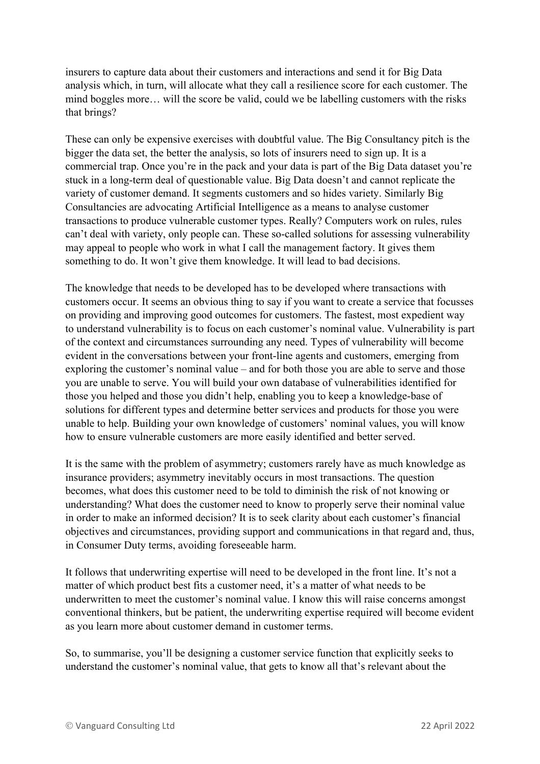insurers to capture data about their customers and interactions and send it for Big Data analysis which, in turn, will allocate what they call a resilience score for each customer. The mind boggles more… will the score be valid, could we be labelling customers with the risks that brings?

These can only be expensive exercises with doubtful value. The Big Consultancy pitch is the bigger the data set, the better the analysis, so lots of insurers need to sign up. It is a commercial trap. Once you're in the pack and your data is part of the Big Data dataset you're stuck in a long-term deal of questionable value. Big Data doesn't and cannot replicate the variety of customer demand. It segments customers and so hides variety. Similarly Big Consultancies are advocating Artificial Intelligence as a means to analyse customer transactions to produce vulnerable customer types. Really? Computers work on rules, rules can't deal with variety, only people can. These so-called solutions for assessing vulnerability may appeal to people who work in what I call the management factory. It gives them something to do. It won't give them knowledge. It will lead to bad decisions.

The knowledge that needs to be developed has to be developed where transactions with customers occur. It seems an obvious thing to say if you want to create a service that focusses on providing and improving good outcomes for customers. The fastest, most expedient way to understand vulnerability is to focus on each customer's nominal value. Vulnerability is part of the context and circumstances surrounding any need. Types of vulnerability will become evident in the conversations between your front-line agents and customers, emerging from exploring the customer's nominal value – and for both those you are able to serve and those you are unable to serve. You will build your own database of vulnerabilities identified for those you helped and those you didn't help, enabling you to keep a knowledge-base of solutions for different types and determine better services and products for those you were unable to help. Building your own knowledge of customers' nominal values, you will know how to ensure vulnerable customers are more easily identified and better served.

It is the same with the problem of asymmetry; customers rarely have as much knowledge as insurance providers; asymmetry inevitably occurs in most transactions. The question becomes, what does this customer need to be told to diminish the risk of not knowing or understanding? What does the customer need to know to properly serve their nominal value in order to make an informed decision? It is to seek clarity about each customer's financial objectives and circumstances, providing support and communications in that regard and, thus, in Consumer Duty terms, avoiding foreseeable harm.

It follows that underwriting expertise will need to be developed in the front line. It's not a matter of which product best fits a customer need, it's a matter of what needs to be underwritten to meet the customer's nominal value. I know this will raise concerns amongst conventional thinkers, but be patient, the underwriting expertise required will become evident as you learn more about customer demand in customer terms.

So, to summarise, you'll be designing a customer service function that explicitly seeks to understand the customer's nominal value, that gets to know all that's relevant about the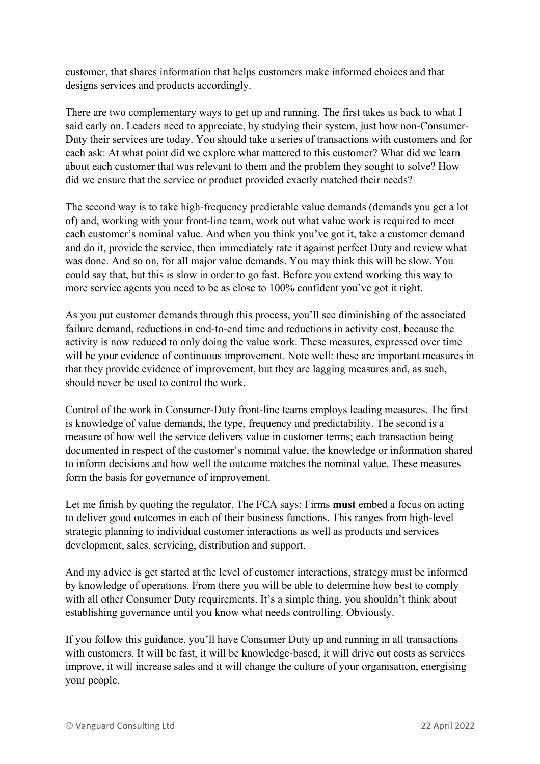customer, that shares information that helps customers make informed choices and that designs services and products accordingly.

There are two complementary ways to get up and running. The first takes us back to what I said early on. Leaders need to appreciate, by studying their system, just how non-Consumer-Duty their services are today. You should take a series of transactions with customers and for each ask: At what point did we explore what mattered to this customer? What did we learn about each customer that was relevant to them and the problem they sought to solve? How did we ensure that the service or product provided exactly matched their needs?

The second way is to take high-frequency predictable value demands (demands you get a lot of) and, working with your front-line team, work out what value work is required to meet each customer's nominal value. And when you think you've got it, take a customer demand and do it, provide the service, then immediately rate it against perfect Duty and review what was done. And so on, for all major value demands. You may think this will be slow. You could say that, but this is slow in order to go fast. Before you extend working this way to more service agents you need to be as close to 100% confident you've got it right.

As you put customer demands through this process, you'll see diminishing of the associated failure demand, reductions in end-to-end time and reductions in activity cost, because the activity is now reduced to only doing the value work. These measures, expressed over time will be your evidence of continuous improvement. Note well: these are important measures in that they provide evidence of improvement, but they are lagging measures and, as such, should never be used to control the work.

Control of the work in Consumer-Duty front-line teams employs leading measures. The first is knowledge of value demands, the type, frequency and predictability. The second is a measure of how well the service delivers value in customer terms; each transaction being documented in respect of the customer's nominal value, the knowledge or information shared to inform decisions and how well the outcome matches the nominal value. These measures form the basis for governance of improvement.

Let me finish by quoting the regulator. The FCA says: Firms **must** embed a focus on acting to deliver good outcomes in each of their business functions. This ranges from high-level strategic planning to individual customer interactions as well as products and services development, sales, servicing, distribution and support.

And my advice is get started at the level of customer interactions, strategy must be informed by knowledge of operations. From there you will be able to determine how best to comply with all other Consumer Duty requirements. It's a simple thing, you shouldn't think about establishing governance until you know what needs controlling. Obviously.

If you follow this guidance, you'll have Consumer Duty up and running in all transactions with customers. It will be fast, it will be knowledge-based, it will drive out costs as services improve, it will increase sales and it will change the culture of your organisation, energising your people.